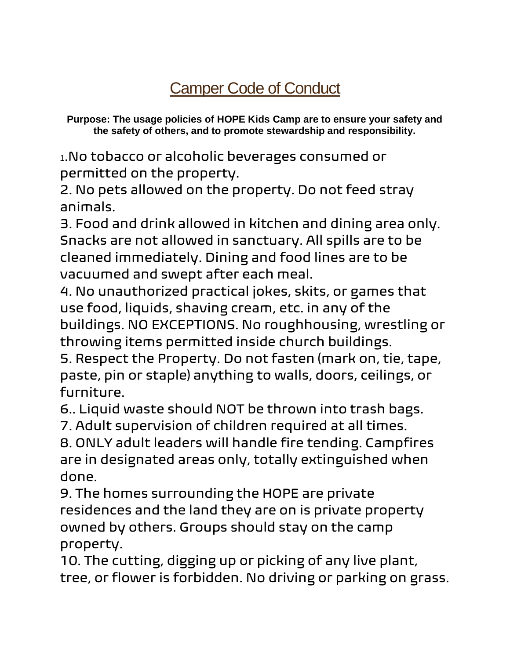## [Camper Code of Conduct](https://www.camp-allendale.org/wp-content/uploads/2014/03/Code-of-Conduct.pdf)

**Purpose: The usage policies of HOPE Kids Camp are to ensure your safety and the safety of others, and to promote stewardship and responsibility.**

<sup>1</sup>.No tobacco or alcoholic beverages consumed or permitted on the property.

2. No pets allowed on the property. Do not feed stray animals.

3. Food and drink allowed in kitchen and dining area only. Snacks are not allowed in sanctuary. All spills are to be cleaned immediately. Dining and food lines are to be vacuumed and swept after each meal.

4. No unauthorized practical jokes, skits, or games that use food, liquids, shaving cream, etc. in any of the buildings. NO EXCEPTIONS. No roughhousing, wrestling or throwing items permitted inside church buildings.

5. Respect the Property. Do not fasten (mark on, tie, tape, paste, pin or staple) anything to walls, doors, ceilings, or furniture.

6.. Liquid waste should NOT be thrown into trash bags.

7. Adult supervision of children required at all times.

8. ONLY adult leaders will handle fire tending. Campfires are in designated areas only, totally extinguished when done.

9. The homes surrounding the HOPE are private residences and the land they are on is private property owned by others. Groups should stay on the camp property.

10. The cutting, digging up or picking of any live plant, tree, or flower is forbidden. No driving or parking on grass.